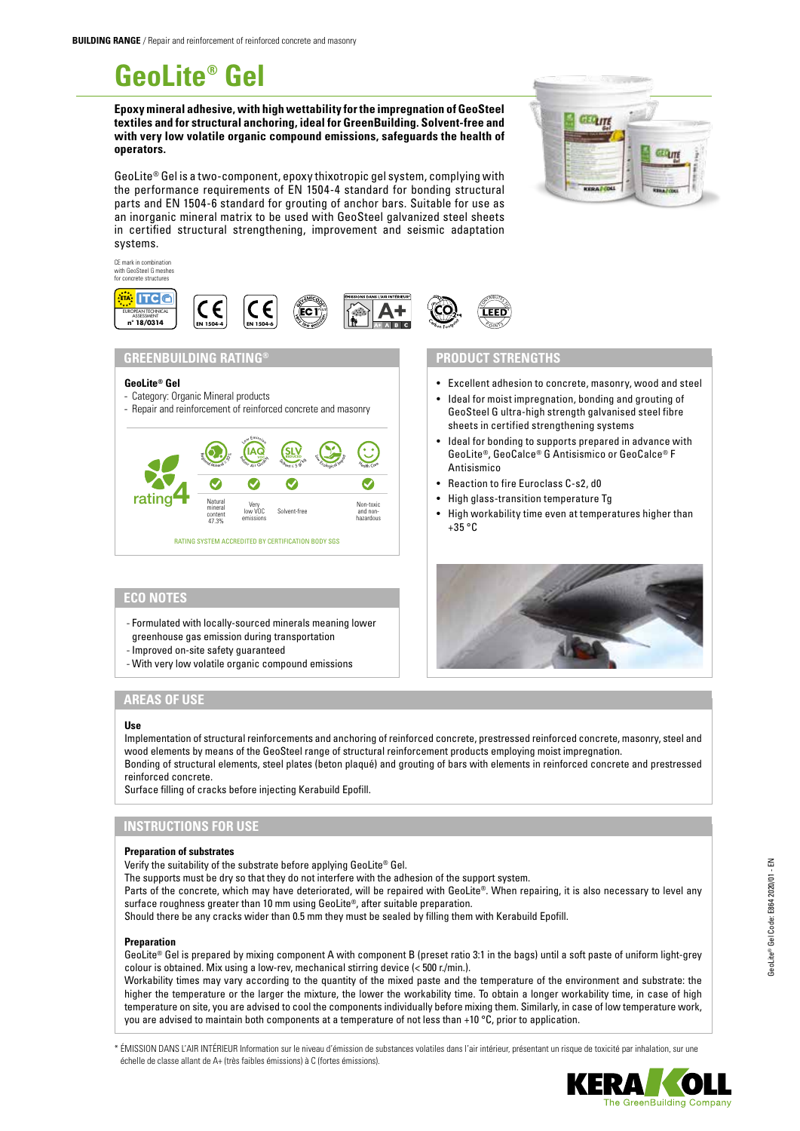# **GeoLite® Gel**

**Epoxy mineral adhesive, with high wettability for the impregnation of GeoSteel textiles and for structural anchoring, ideal for GreenBuilding. Solvent-free and with very low volatile organic compound emissions, safeguards the health of operators.**

GeoLite® Gel is a two-component, epoxy thixotropic gel system, complying with the performance requirements of EN 1504-4 standard for bonding structural parts and EN 1504-6 standard for grouting of anchor bars. Suitable for use as an inorganic mineral matrix to be used with GeoSteel galvanized steel sheets in certified structural strengthening, improvement and seismic adaptation systems.

**EN 1504-4** S

**IN IN LUTTERETT** 



• Excellent adhesion to concrete, masonry, wood and steel • Ideal for moist impregnation, bonding and grouting of GeoSteel G ultra-high strength galvanised steel fibre

• Ideal for bonding to supports prepared in advance with GeoLite®, GeoCalce® G Antisismico or GeoCalce® F

• High workability time even at temperatures higher than

sheets in certified strengthening systems

• Reaction to fire Euroclass C-s2, d0 • High glass-transition temperature Tg

**PRODUCT STRENGTHS**

CONTRIBUTES  $20n$ Ñ٦

**Antisismico** 

 $+35$  °C



**EN 1504-6**

## **ECO NOTES**

**ETA**: ITC **C DE**<br>OPEAN TECHNI ASSESSMENT **n° 18/0314**

CE mark in combination with GeoSteel G meshes for concrete structures

- Formulated with locally-sourced minerals meaning lower
- greenhouse gas emission during transportation
- Improved on-site safety guaranteed
- With very low volatile organic compound emissions

# **AREAS OF USE**

#### **Use**

Implementation of structural reinforcements and anchoring of reinforced concrete, prestressed reinforced concrete, masonry, steel and wood elements by means of the GeoSteel range of structural reinforcement products employing moist impregnation. Bonding of structural elements, steel plates (beton plaqué) and grouting of bars with elements in reinforced concrete and prestressed reinforced concrete.

Surface filling of cracks before injecting Kerabuild Epofill.

## **INSTRUCTIONS FOR USE**

#### **Preparation of substrates**

Verify the suitability of the substrate before applying GeoLite® Gel.

The supports must be dry so that they do not interfere with the adhesion of the support system.

Parts of the concrete, which may have deteriorated, will be repaired with GeoLite®. When repairing, it is also necessary to level any surface roughness greater than 10 mm using GeoLite®, after suitable preparation.

Should there be any cracks wider than 0.5 mm they must be sealed by filling them with Kerabuild Epofill.

#### **Preparation**

GeoLite® Gel is prepared by mixing component A with component B (preset ratio 3:1 in the bags) until a soft paste of uniform light-grey colour is obtained. Mix using a low-rev, mechanical stirring device (< 500 r./min.).

Workability times may vary according to the quantity of the mixed paste and the temperature of the environment and substrate: the higher the temperature or the larger the mixture, the lower the workability time. To obtain a longer workability time, in case of high temperature on site, you are advised to cool the components individually before mixing them. Similarly, in case of low temperature work, you are advised to maintain both components at a temperature of not less than +10 °C, prior to application.

\* ÉMISSION DANS L'AIR INTÉRIEUR Information sur le niveau d'émission de substances volatiles dans l'air intérieur, présentant un risque de toxicité par inhalation, sur une échelle de classe allant de A+ (très faibles émissions) à C (fortes émissions).

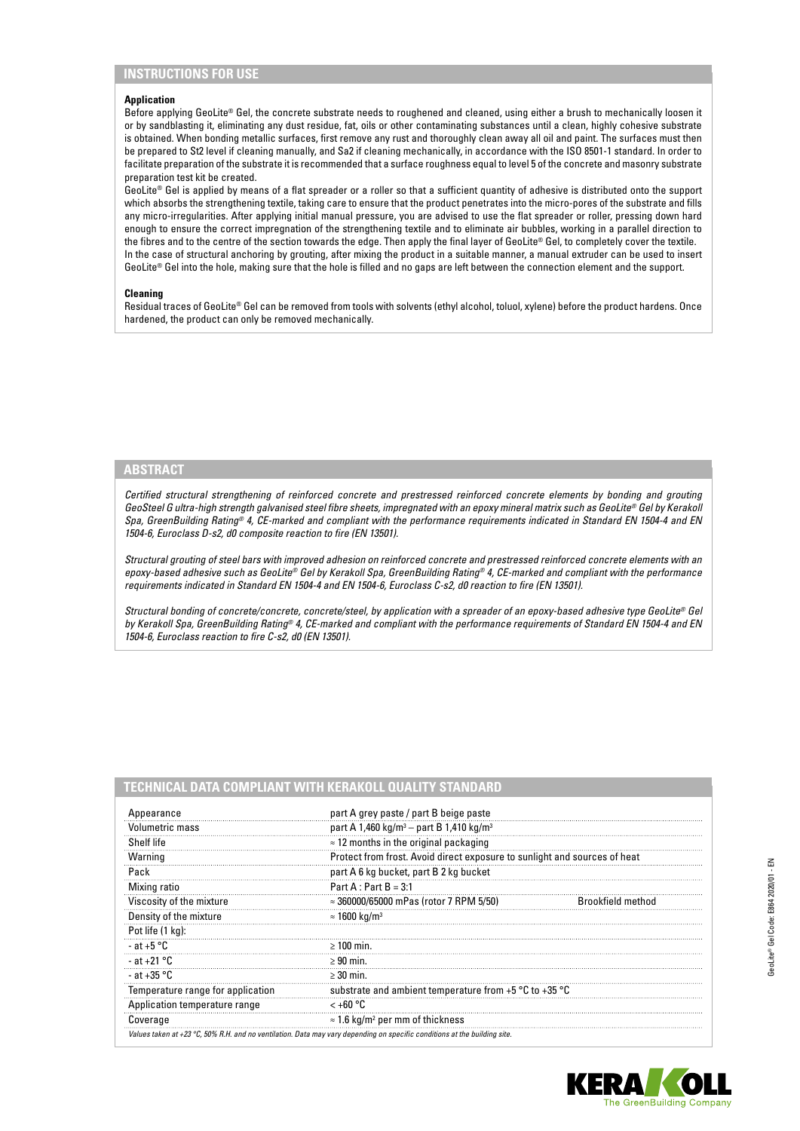# **INSTRUCTIONS FOR USE**

#### **Application**

Before applying GeoLite® Gel, the concrete substrate needs to roughened and cleaned, using either a brush to mechanically loosen it or by sandblasting it, eliminating any dust residue, fat, oils or other contaminating substances until a clean, highly cohesive substrate is obtained. When bonding metallic surfaces, first remove any rust and thoroughly clean away all oil and paint. The surfaces must then be prepared to St2 level if cleaning manually, and Sa2 if cleaning mechanically, in accordance with the ISO 8501-1 standard. In order to facilitate preparation of the substrate it is recommended that a surface roughness equal to level 5 of the concrete and masonry substrate preparation test kit be created.

GeoLite® Gel is applied by means of a flat spreader or a roller so that a sufficient quantity of adhesive is distributed onto the support which absorbs the strengthening textile, taking care to ensure that the product penetrates into the micro-pores of the substrate and fills any micro-irregularities. After applying initial manual pressure, you are advised to use the flat spreader or roller, pressing down hard enough to ensure the correct impregnation of the strengthening textile and to eliminate air bubbles, working in a parallel direction to the fibres and to the centre of the section towards the edge. Then apply the final layer of GeoLite® Gel, to completely cover the textile. In the case of structural anchoring by grouting, after mixing the product in a suitable manner, a manual extruder can be used to insert GeoLite® Gel into the hole, making sure that the hole is filled and no gaps are left between the connection element and the support.

#### **Cleaning**

Residual traces of GeoLite® Gel can be removed from tools with solvents (ethyl alcohol, toluol, xylene) before the product hardens. Once hardened, the product can only be removed mechanically.

### **ABSTRACT**

*Certified structural strengthening of reinforced concrete and prestressed reinforced concrete elements by bonding and grouting GeoSteel G ultra-high strength galvanised steel fibre sheets, impregnated with an epoxy mineral matrix such as GeoLite® Gel by Kerakoll Spa, GreenBuilding Rating® 4, CE-marked and compliant with the performance requirements indicated in Standard EN 1504-4 and EN 1504-6, Euroclass D-s2, d0 composite reaction to fire (EN 13501).*

*Structural grouting of steel bars with improved adhesion on reinforced concrete and prestressed reinforced concrete elements with an epoxy-based adhesive such as GeoLite® Gel by Kerakoll Spa, GreenBuilding Rating® 4, CE-marked and compliant with the performance requirements indicated in Standard EN 1504-4 and EN 1504-6, Euroclass C-s2, d0 reaction to fire (EN 13501).*

*Structural bonding of concrete/concrete, concrete/steel, by application with a spreader of an epoxy-based adhesive type GeoLite® Gel by Kerakoll Spa, GreenBuilding Rating® 4, CE-marked and compliant with the performance requirements of Standard EN 1504-4 and EN 1504-6, Euroclass reaction to fire C-s2, d0 (EN 13501).*

|  | TECHNICAL DATA COMPLIANT WITH KERAKOLL QUALITY STANDARD |
|--|---------------------------------------------------------|

| Appearance                        | part A grey paste / part B beige paste                                                                                              |                   |
|-----------------------------------|-------------------------------------------------------------------------------------------------------------------------------------|-------------------|
| Volumetric mass                   | part A 1,460 kg/m <sup>3</sup> - part B 1,410 kg/m <sup>3</sup>                                                                     |                   |
| Shelf life                        | $\approx$ 12 months in the original packaging                                                                                       |                   |
| Warning                           | Protect from frost. Avoid direct exposure to sunlight and sources of heat                                                           |                   |
| Pack                              | part A 6 kg bucket, part B 2 kg bucket                                                                                              |                   |
| Mixing ratio                      | Part A : Part B = $3:1$                                                                                                             |                   |
| Viscosity of the mixture          | $\approx$ 360000/65000 mPas (rotor 7 RPM 5/50)                                                                                      | Brookfield method |
| Density of the mixture            | $\approx$ 1600 kg/m <sup>3</sup>                                                                                                    |                   |
| Pot life (1 kg):                  |                                                                                                                                     |                   |
| - at +5 $^{\circ}$ C              | $>100$ min.                                                                                                                         |                   |
| - at +21 $^{\circ}$ C             | $\geq 90$ min.                                                                                                                      |                   |
| - at +35 °C                       | $\geq$ 30 min.                                                                                                                      |                   |
| Temperature range for application | substrate and ambient temperature from $+5$ °C to $+35$ °C                                                                          |                   |
| Application temperature range     | $< +60 °C$                                                                                                                          |                   |
| Coverage                          | $\approx$ 1.6 kg/m <sup>2</sup> per mm of thickness                                                                                 |                   |
|                                   | Values taken at +23 $^{\circ}$ C, 50% R.H. and no ventilation. Data may vary depending on specific conditions at the building site. |                   |